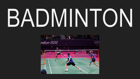# BADMINTON

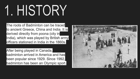# 1. HISTORY

The roots of Badminton can be traced to ancient Greece, China and India. It is derived directly from poona (city in India), which was played by British army officers stationed in India in the 1860s.

After being played in Canada, badminton arrived in America and has been popular since 1929. Since 1992, badminton has been an Olympic sport.

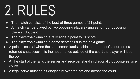# 2. RULES

- The match consists of the best-of-three games of 21 points.
- A match can be played by two opposing players (singles) or four opposing players (doubles).
- The player/pair winning a rally adds a point to its score.
- The player/pair winning a game serves first in the next game.
- A point is scored when the shuttlecock lands inside the opponent's court or if a returned shuttlecock hits the net or lands outside of the court the player will lose the point.
- At the start of the rally, the server and receiver stand in diagonally opposite service courts.
- A legal serve must be hit diagonally over the net and across the court.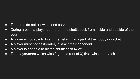#### • The rules do not allow second serves.

- During a point a player can return the shuttlecock from inside and outside of the court.
- A player is not able to touch the net with any part of their body or racket.
- A player must not deliberately distract their opponent.
- A player is not able to hit the shuttlecock twice.
- The player/team which wins 2 games (out of 3) first, wins the match.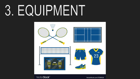### 3. EQUIPMENT



VectorStock®

VectorStock.com/37198516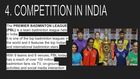# 4. COMPETITION IN INDIA

The **PREMIER BADMINTON LEAGUE (PBL)** is a team badminton league held in India.

It is one of the top badminton leagues in the world and it features the top Indian and international badminton stars.

With 9 teams and 8 venues, PBL today has a reach of over 100 million badminton fans via TV, on-ground activities and social media interaction .